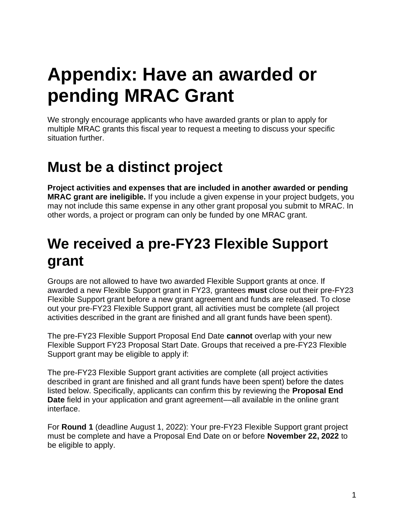# **Appendix: Have an awarded or pending MRAC Grant**

 We strongly encourage applicants who have awarded grants or plan to apply for multiple MRAC grants this fiscal year to request a meeting to discuss your specific situation further.

# **Must be a distinct project**

 **Project activities and expenses that are included in another awarded or pending MRAC grant are ineligible.** If you include a given expense in your project budgets, you may not include this same expense in any other grant proposal you submit to MRAC. In other words, a project or program can only be funded by one MRAC grant.

# **We received a pre-FY23 Flexible Support grant**

 Groups are not allowed to have two awarded Flexible Support grants at once. If awarded a new Flexible Support grant in FY23, grantees **must** close out their pre-FY23 Flexible Support grant before a new grant agreement and funds are released. To close out your pre-FY23 Flexible Support grant, all activities must be complete (all project activities described in the grant are finished and all grant funds have been spent).

 The pre-FY23 Flexible Support Proposal End Date **cannot** overlap with your new Flexible Support FY23 Proposal Start Date. Groups that received a pre-FY23 Flexible Support grant may be eligible to apply if:

 The pre-FY23 Flexible Support grant activities are complete (all project activities described in grant are finished and all grant funds have been spent) before the dates listed below. Specifically, applicants can confirm this by reviewing the **Proposal End Date** field in your application and grant agreement––all available in the online grant interface.

 For **Round 1** (deadline August 1, 2022): Your pre-FY23 Flexible Support grant project must be complete and have a Proposal End Date on or before **November 22, 2022** to be eligible to apply.